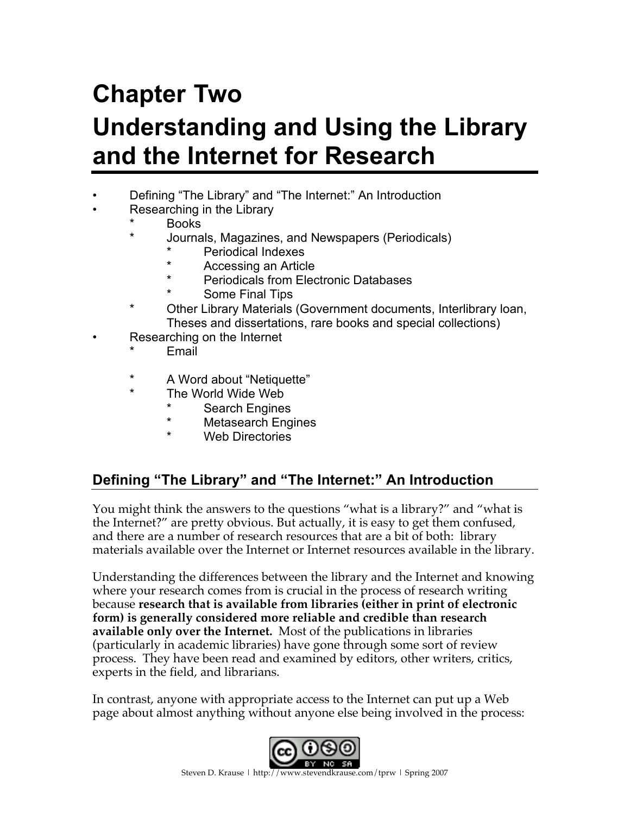# **Chapter Two Understanding and Using the Library and the Internet for Research**

- Defining "The Library" and "The Internet:" An Introduction
- Researching in the Library
	- Books
	- \* Journals, Magazines, and Newspapers (Periodicals)
		- Periodical Indexes
		- Accessing an Article
		- **Periodicals from Electronic Databases**
		- Some Final Tips
	- Other Library Materials (Government documents, Interlibrary Ioan, Theses and dissertations, rare books and special collections)
	- Researching on the Internet
		- **Email**
		- \* A Word about "Netiquette"
		- The World Wide Web
			- **Search Engines**
			- \* Metasearch Engines
			- \* Web Directories

# **Defining "The Library" and "The Internet:" An Introduction**

You might think the answers to the questions "what is a library?" and "what is the Internet?" are pretty obvious. But actually, it is easy to get them confused, and there are a number of research resources that are a bit of both: library materials available over the Internet or Internet resources available in the library.

Understanding the differences between the library and the Internet and knowing where your research comes from is crucial in the process of research writing because **research that is available from libraries (either in print of electronic form) is generally considered more reliable and credible than research available only over the Internet.** Most of the publications in libraries (particularly in academic libraries) have gone through some sort of review process. They have been read and examined by editors, other writers, critics, experts in the field, and librarians.

In contrast, anyone with appropriate access to the Internet can put up a Web page about almost anything without anyone else being involved in the process:

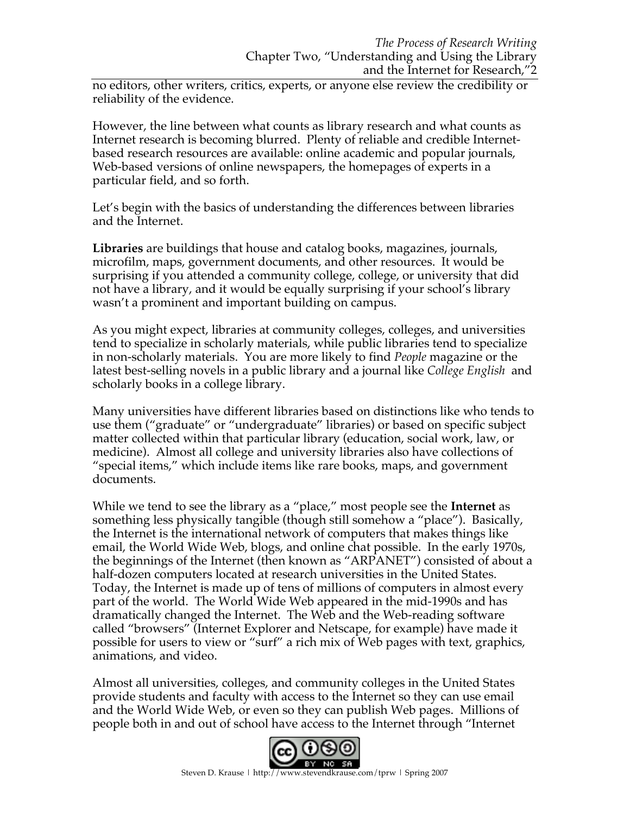no editors, other writers, critics, experts, or anyone else review the credibility or reliability of the evidence.

However, the line between what counts as library research and what counts as Internet research is becoming blurred. Plenty of reliable and credible Internetbased research resources are available: online academic and popular journals, Web-based versions of online newspapers, the homepages of experts in a particular field, and so forth.

Let's begin with the basics of understanding the differences between libraries and the Internet.

**Libraries** are buildings that house and catalog books, magazines, journals, microfilm, maps, government documents, and other resources. It would be surprising if you attended a community college, college, or university that did not have a library, and it would be equally surprising if your school's library wasn't a prominent and important building on campus.

As you might expect, libraries at community colleges, colleges, and universities tend to specialize in scholarly materials, while public libraries tend to specialize in non-scholarly materials. You are more likely to find *People* magazine or the latest best-selling novels in a public library and a journal like *College English* and scholarly books in a college library.

Many universities have different libraries based on distinctions like who tends to use them ("graduate" or "undergraduate" libraries) or based on specific subject matter collected within that particular library (education, social work, law, or medicine). Almost all college and university libraries also have collections of "special items," which include items like rare books, maps, and government documents.

While we tend to see the library as a "place," most people see the **Internet** as something less physically tangible (though still somehow a "place"). Basically, the Internet is the international network of computers that makes things like email, the World Wide Web, blogs, and online chat possible. In the early 1970s, the beginnings of the Internet (then known as "ARPANET") consisted of about a half-dozen computers located at research universities in the United States. Today, the Internet is made up of tens of millions of computers in almost every part of the world. The World Wide Web appeared in the mid-1990s and has dramatically changed the Internet. The Web and the Web-reading software called "browsers" (Internet Explorer and Netscape, for example) have made it possible for users to view or "surf" a rich mix of Web pages with text, graphics, animations, and video.

Almost all universities, colleges, and community colleges in the United States provide students and faculty with access to the Internet so they can use email and the World Wide Web, or even so they can publish Web pages. Millions of people both in and out of school have access to the Internet through "Internet



Steven D. Krause | http://www.stevendkrause.com/tprw | Spring 2007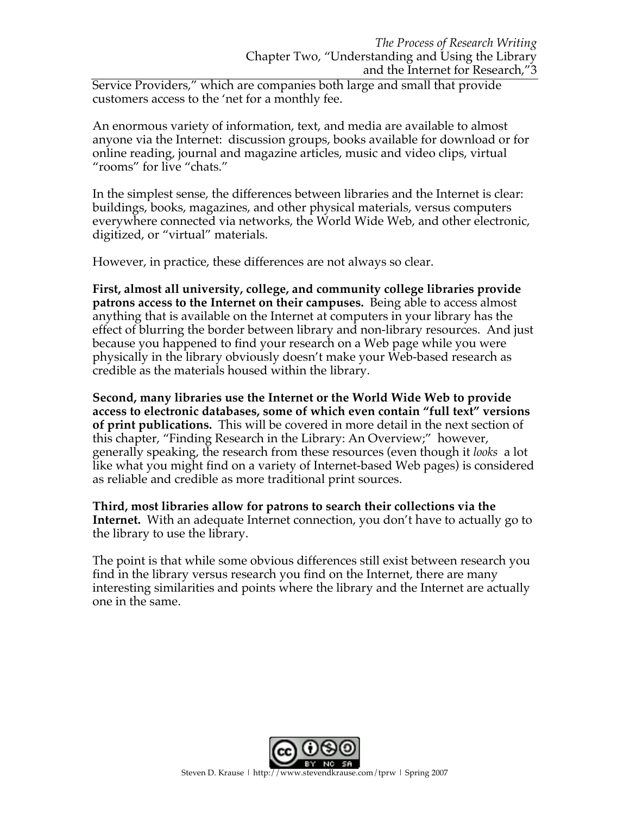Service Providers," which are companies both large and small that provide customers access to the 'net for a monthly fee.

An enormous variety of information, text, and media are available to almost anyone via the Internet: discussion groups, books available for download or for online reading, journal and magazine articles, music and video clips, virtual "rooms" for live "chats."

In the simplest sense, the differences between libraries and the Internet is clear: buildings, books, magazines, and other physical materials, versus computers everywhere connected via networks, the World Wide Web, and other electronic, digitized, or "virtual" materials.

However, in practice, these differences are not always so clear.

**First, almost all university, college, and community college libraries provide patrons access to the Internet on their campuses.** Being able to access almost anything that is available on the Internet at computers in your library has the effect of blurring the border between library and non-library resources. And just because you happened to find your research on a Web page while you were physically in the library obviously doesn't make your Web-based research as credible as the materials housed within the library.

**Second, many libraries use the Internet or the World Wide Web to provide access to electronic databases, some of which even contain "full text" versions of print publications.** This will be covered in more detail in the next section of this chapter, "Finding Research in the Library: An Overview;" however, generally speaking, the research from these resources (even though it *looks* a lot like what you might find on a variety of Internet-based Web pages) is considered as reliable and credible as more traditional print sources.

**Third, most libraries allow for patrons to search their collections via the Internet.** With an adequate Internet connection, you don't have to actually go to the library to use the library.

The point is that while some obvious differences still exist between research you find in the library versus research you find on the Internet, there are many interesting similarities and points where the library and the Internet are actually one in the same.

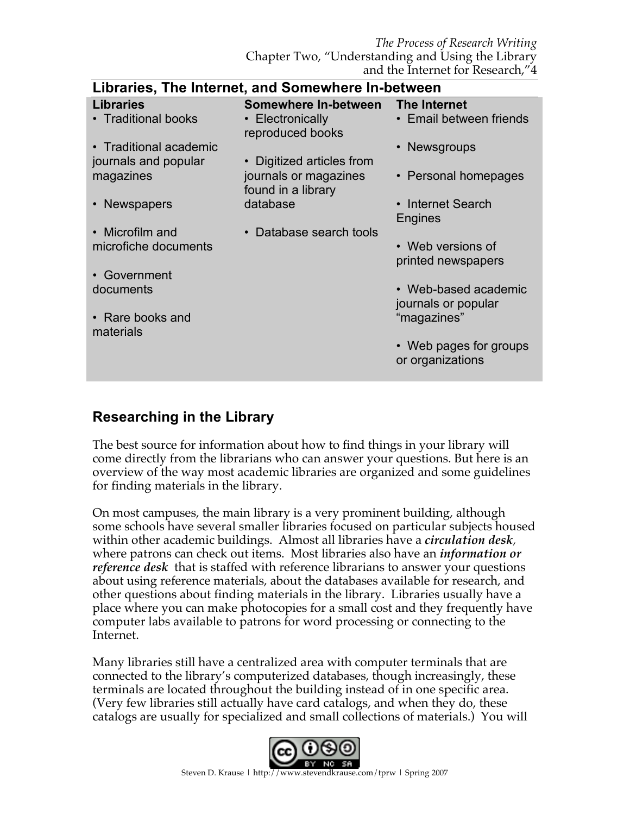*The Process of Research Writing* Chapter Two, "Understanding and Using the Library and the Internet for Research,"4

| Libraries, The Internet, and Somewhere In-between |                                             |                                             |  |  |
|---------------------------------------------------|---------------------------------------------|---------------------------------------------|--|--|
| <b>Libraries</b>                                  | Somewhere In-between                        | The Internet                                |  |  |
| • Traditional books                               | • Electronically<br>reproduced books        | • Email between friends                     |  |  |
| • Traditional academic                            |                                             | • Newsgroups                                |  |  |
| journals and popular                              | • Digitized articles from                   |                                             |  |  |
| magazines                                         | journals or magazines<br>found in a library | • Personal homepages                        |  |  |
| • Newspapers                                      | database                                    | • Internet Search                           |  |  |
|                                                   |                                             | Engines                                     |  |  |
| • Microfilm and<br>microfiche documents           | Database search tools                       | • Web versions of<br>printed newspapers     |  |  |
| • Government                                      |                                             |                                             |  |  |
| documents                                         |                                             | • Web-based academic<br>journals or popular |  |  |
| • Rare books and<br>materials                     |                                             | "magazines"                                 |  |  |
|                                                   |                                             | • Web pages for groups<br>or organizations  |  |  |
|                                                   |                                             |                                             |  |  |

# **Libraries, The Internet, and Somewhere In-between**

# **Researching in the Library**

The best source for information about how to find things in your library will come directly from the librarians who can answer your questions. But here is an overview of the way most academic libraries are organized and some guidelines for finding materials in the library.

On most campuses, the main library is a very prominent building, although some schools have several smaller libraries focused on particular subjects housed within other academic buildings. Almost all libraries have a *circulation desk,*  where patrons can check out items. Most libraries also have an *information or reference desk* that is staffed with reference librarians to answer your questions about using reference materials, about the databases available for research, and other questions about finding materials in the library. Libraries usually have a place where you can make photocopies for a small cost and they frequently have computer labs available to patrons for word processing or connecting to the Internet.

Many libraries still have a centralized area with computer terminals that are connected to the library's computerized databases, though increasingly, these terminals are located throughout the building instead of in one specific area. (Very few libraries still actually have card catalogs, and when they do, these catalogs are usually for specialized and small collections of materials.) You will

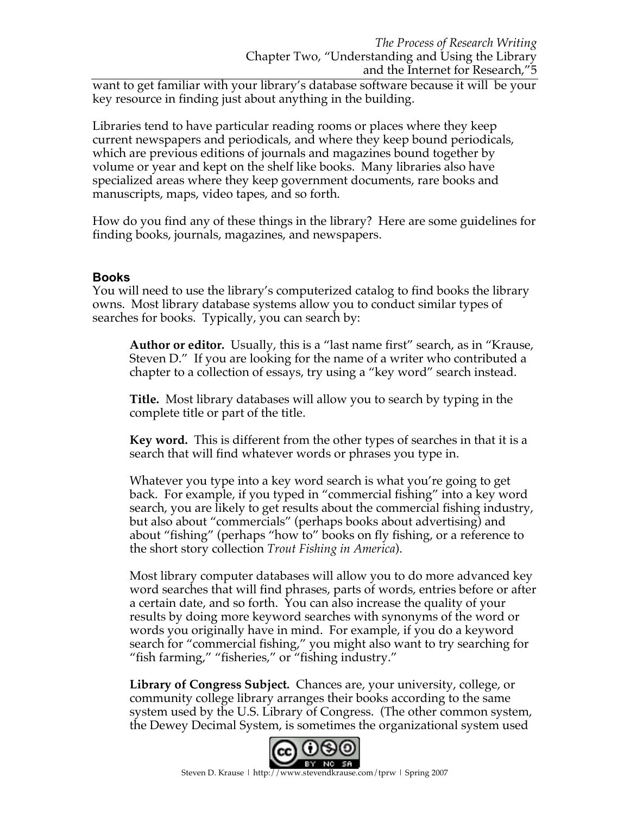want to get familiar with your library's database software because it will be your key resource in finding just about anything in the building.

Libraries tend to have particular reading rooms or places where they keep current newspapers and periodicals, and where they keep bound periodicals, which are previous editions of journals and magazines bound together by volume or year and kept on the shelf like books. Many libraries also have specialized areas where they keep government documents, rare books and manuscripts, maps, video tapes, and so forth.

How do you find any of these things in the library? Here are some guidelines for finding books, journals, magazines, and newspapers.

### **Books**

You will need to use the library's computerized catalog to find books the library owns. Most library database systems allow you to conduct similar types of searches for books. Typically, you can search by:

**Author or editor.** Usually, this is a "last name first" search, as in "Krause, Steven D." If you are looking for the name of a writer who contributed a chapter to a collection of essays, try using a "key word" search instead.

**Title.** Most library databases will allow you to search by typing in the complete title or part of the title.

**Key word.** This is different from the other types of searches in that it is a search that will find whatever words or phrases you type in.

Whatever you type into a key word search is what you're going to get back. For example, if you typed in "commercial fishing" into a key word search, you are likely to get results about the commercial fishing industry, but also about "commercials" (perhaps books about advertising) and about "fishing" (perhaps "how to" books on fly fishing, or a reference to the short story collection *Trout Fishing in America*).

Most library computer databases will allow you to do more advanced key word searches that will find phrases, parts of words, entries before or after a certain date, and so forth. You can also increase the quality of your results by doing more keyword searches with synonyms of the word or words you originally have in mind. For example, if you do a keyword search for "commercial fishing," you might also want to try searching for "fish farming," "fisheries," or "fishing industry."

**Library of Congress Subject***.* Chances are, your university, college, or community college library arranges their books according to the same system used by the U.S. Library of Congress. (The other common system, the Dewey Decimal System, is sometimes the organizational system used

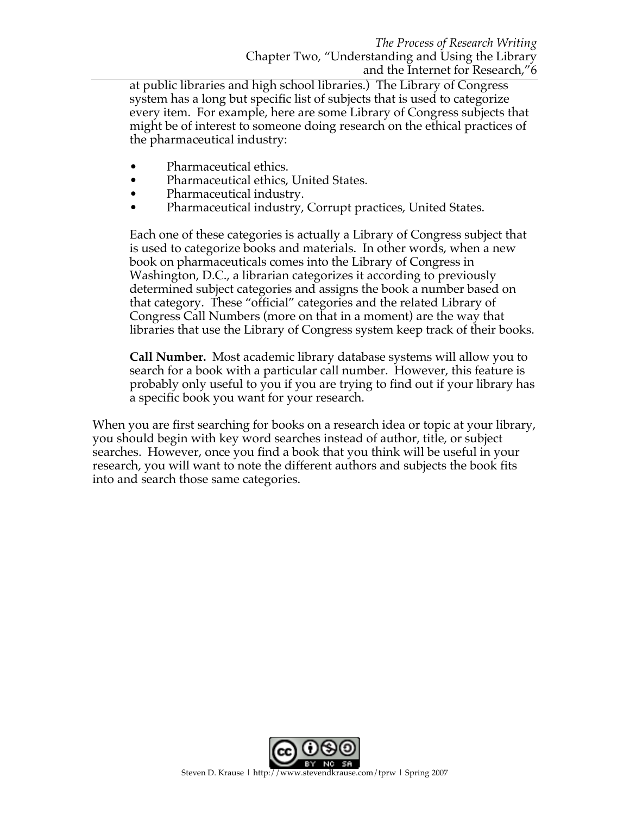at public libraries and high school libraries.) The Library of Congress system has a long but specific list of subjects that is used to categorize every item. For example, here are some Library of Congress subjects that might be of interest to someone doing research on the ethical practices of the pharmaceutical industry:

- Pharmaceutical ethics.
- Pharmaceutical ethics, United States.
- Pharmaceutical industry.
- Pharmaceutical industry, Corrupt practices, United States.

Each one of these categories is actually a Library of Congress subject that is used to categorize books and materials. In other words, when a new book on pharmaceuticals comes into the Library of Congress in Washington, D.C., a librarian categorizes it according to previously determined subject categories and assigns the book a number based on that category. These "official" categories and the related Library of Congress Call Numbers (more on that in a moment) are the way that libraries that use the Library of Congress system keep track of their books.

**Call Number.** Most academic library database systems will allow you to search for a book with a particular call number. However, this feature is probably only useful to you if you are trying to find out if your library has a specific book you want for your research.

When you are first searching for books on a research idea or topic at your library, you should begin with key word searches instead of author, title, or subject searches. However, once you find a book that you think will be useful in your research, you will want to note the different authors and subjects the book fits into and search those same categories.

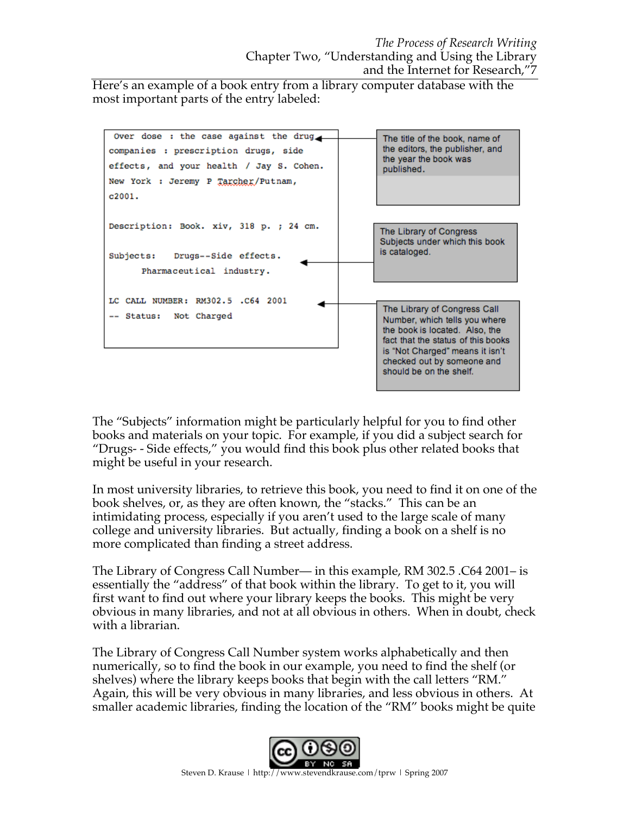Here's an example of a book entry from a library computer database with the most important parts of the entry labeled:



The "Subjects" information might be particularly helpful for you to find other books and materials on your topic. For example, if you did a subject search for "Drugs- - Side effects," you would find this book plus other related books that might be useful in your research.

In most university libraries, to retrieve this book, you need to find it on one of the book shelves, or, as they are often known, the "stacks." This can be an intimidating process, especially if you aren't used to the large scale of many college and university libraries. But actually, finding a book on a shelf is no more complicated than finding a street address.

The Library of Congress Call Number— in this example, RM 302.5 .C64 2001– is essentially the "address" of that book within the library. To get to it, you will first want to find out where your library keeps the books. This might be very obvious in many libraries, and not at all obvious in others. When in doubt, check with a librarian.

The Library of Congress Call Number system works alphabetically and then numerically, so to find the book in our example, you need to find the shelf (or shelves) where the library keeps books that begin with the call letters "RM." Again, this will be very obvious in many libraries, and less obvious in others. At smaller academic libraries, finding the location of the "RM" books might be quite

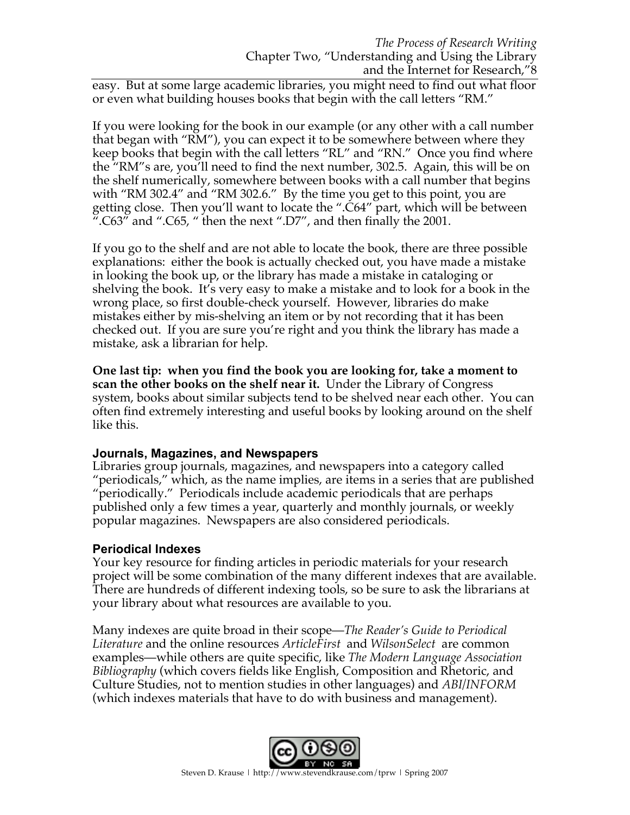easy. But at some large academic libraries, you might need to find out what floor or even what building houses books that begin with the call letters "RM."

If you were looking for the book in our example (or any other with a call number that began with "RM"), you can expect it to be somewhere between where they keep books that begin with the call letters "RL" and "RN." Once you find where the "RM"s are, you'll need to find the next number, 302.5. Again, this will be on the shelf numerically, somewhere between books with a call number that begins with "RM 302.4" and "RM 302.6." By the time you get to this point, you are getting close. Then you'll want to locate the ".C64" part, which will be between ". $C63$ " and ". $C65$ , " then the next ". $D7$ ", and then finally the 2001.

If you go to the shelf and are not able to locate the book, there are three possible explanations: either the book is actually checked out, you have made a mistake in looking the book up, or the library has made a mistake in cataloging or shelving the book. It's very easy to make a mistake and to look for a book in the wrong place, so first double-check yourself. However, libraries do make mistakes either by mis-shelving an item or by not recording that it has been checked out. If you are sure you're right and you think the library has made a mistake, ask a librarian for help.

**One last tip: when you find the book you are looking for, take a moment to scan the other books on the shelf near it.** Under the Library of Congress system, books about similar subjects tend to be shelved near each other. You can often find extremely interesting and useful books by looking around on the shelf like this.

### **Journals, Magazines, and Newspapers**

Libraries group journals, magazines, and newspapers into a category called "periodicals," which, as the name implies, are items in a series that are published "periodically." Periodicals include academic periodicals that are perhaps published only a few times a year, quarterly and monthly journals, or weekly popular magazines. Newspapers are also considered periodicals.

### **Periodical Indexes**

Your key resource for finding articles in periodic materials for your research project will be some combination of the many different indexes that are available. There are hundreds of different indexing tools, so be sure to ask the librarians at your library about what resources are available to you.

Many indexes are quite broad in their scope—*The Reader's Guide to Periodical Literature* and the online resources *ArticleFirst* and *WilsonSelect* are common examples—while others are quite specific, like *The Modern Language Association Bibliography* (which covers fields like English, Composition and Rhetoric, and Culture Studies, not to mention studies in other languages) and *ABI/INFORM* (which indexes materials that have to do with business and management).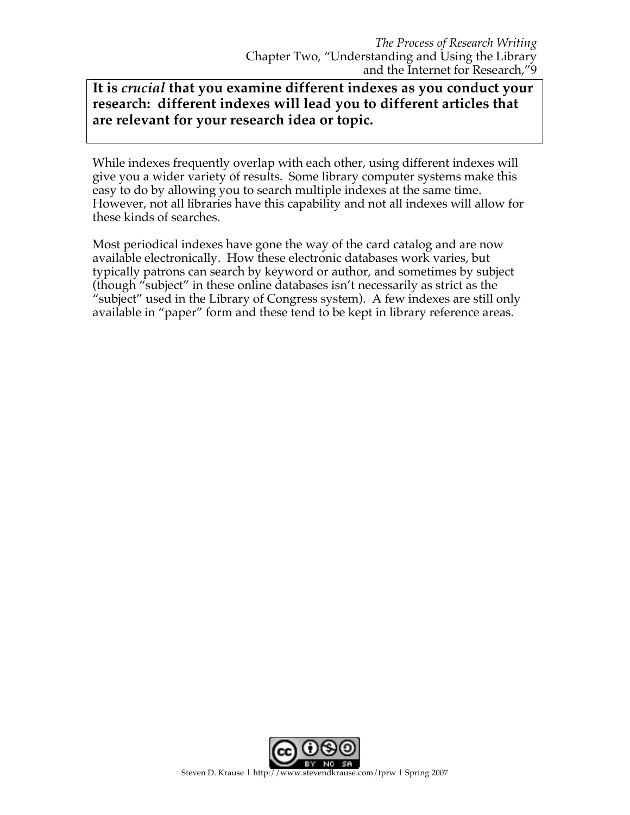# **It is** *crucial* **that you examine different indexes as you conduct your research: different indexes will lead you to different articles that are relevant for your research idea or topic.**

While indexes frequently overlap with each other, using different indexes will give you a wider variety of results. Some library computer systems make this easy to do by allowing you to search multiple indexes at the same time. However, not all libraries have this capability and not all indexes will allow for these kinds of searches.

Most periodical indexes have gone the way of the card catalog and are now available electronically. How these electronic databases work varies, but typically patrons can search by keyword or author, and sometimes by subject (though "subject" in these online databases isn't necessarily as strict as the "subject" used in the Library of Congress system). A few indexes are still only available in "paper" form and these tend to be kept in library reference areas.

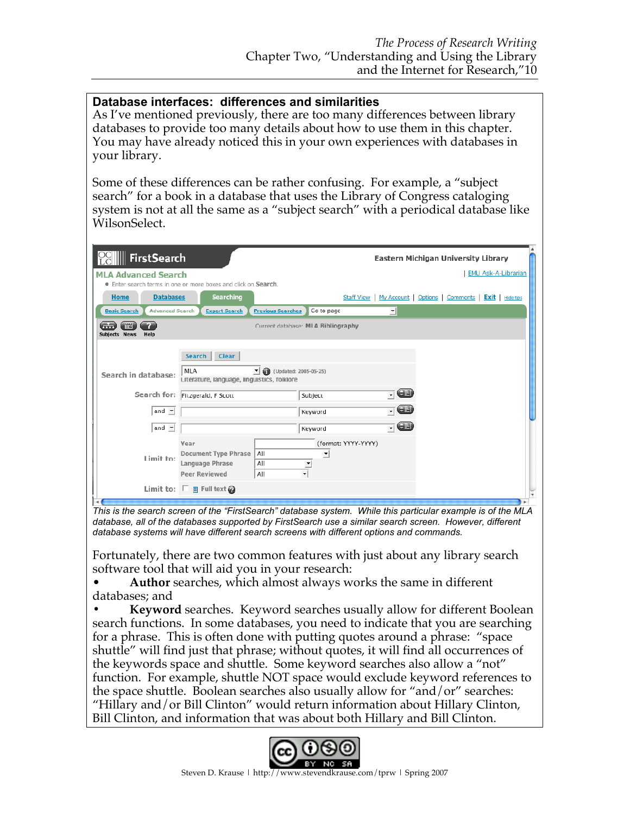## **Database interfaces: differences and similarities**

As I've mentioned previously, there are too many differences between library databases to provide too many details about how to use them in this chapter. You may have already noticed this in your own experiences with databases in your library.

Some of these differences can be rather confusing. For example, a "subject search" for a book in a database that uses the Library of Congress cataloging system is not at all the same as a "subject search" with a periodical database like WilsonSelect.

| ∭ FirstSearch                                                       |                                                  |                                    | Eastern Michigan University Library                             |  |
|---------------------------------------------------------------------|--------------------------------------------------|------------------------------------|-----------------------------------------------------------------|--|
| <b>MLA Advanced Search</b>                                          |                                                  |                                    | <b>EMU Ask-A-Librarian</b>                                      |  |
| <b>Enter search terms in one or more boxes and click on Search.</b> |                                                  |                                    |                                                                 |  |
| <b>Databases</b><br><b>Home</b>                                     | <b>Searching</b>                                 |                                    | Staff View   My Account   Options   Comments   Exit   Hide tips |  |
| <b>Advanced Search</b><br><b>Basic Search</b>                       | <b>Expert Search</b><br><b>Previous Searches</b> | 킈<br>Go to page                    |                                                                 |  |
| 围<br>erin                                                           |                                                  | Current database: MLA Bibliography |                                                                 |  |
| Subjects News<br>Help                                               |                                                  |                                    |                                                                 |  |
|                                                                     | <b>Search</b><br><b>Clear</b>                    |                                    |                                                                 |  |
| Search in database:                                                 | <b>MLA</b><br>¶ n                                | (Updated: 2005-05-25)              |                                                                 |  |
|                                                                     | Literature, language, linguistics, folklore      |                                    |                                                                 |  |
| Search for:                                                         | Fitzgerald, F Scott                              | Œ<br>Subject<br>$\mathbf{r}$       |                                                                 |  |
| and $\blacktriangleright$                                           |                                                  | Œ<br>Keyword                       |                                                                 |  |
| and $\blacktriangleright$                                           |                                                  | 7Ð<br>Keyword                      |                                                                 |  |
|                                                                     | Year                                             | (format: YYYY-YYYY)                |                                                                 |  |
| Limit to:                                                           | Document Type Phrase<br>All                      |                                    |                                                                 |  |
|                                                                     | Language Phrase<br>All                           |                                    |                                                                 |  |
|                                                                     | <b>Peer Reviewed</b><br>All                      |                                    |                                                                 |  |
|                                                                     | Limit to: $\square$ a Full text $\odot$          |                                    |                                                                 |  |

This is the search screen of the "FirstSearch" database system. While this particular example is of the MLA *database, all of the databases supported by FirstSearch use a similar search screen. However, different database systems will have different search screens with different options and commands.*

Fortunately, there are two common features with just about any library search software tool that will aid you in your research:

• **Author** searches, which almost always works the same in different databases; and

**• Keyword** searches. Keyword searches usually allow for different Boolean search functions. In some databases, you need to indicate that you are searching for a phrase. This is often done with putting quotes around a phrase: "space shuttle" will find just that phrase; without quotes, it will find all occurrences of the keywords space and shuttle. Some keyword searches also allow a "not" function. For example, shuttle NOT space would exclude keyword references to the space shuttle. Boolean searches also usually allow for "and/or" searches: "Hillary and/or Bill Clinton" would return information about Hillary Clinton, Bill Clinton, and information that was about both Hillary and Bill Clinton.

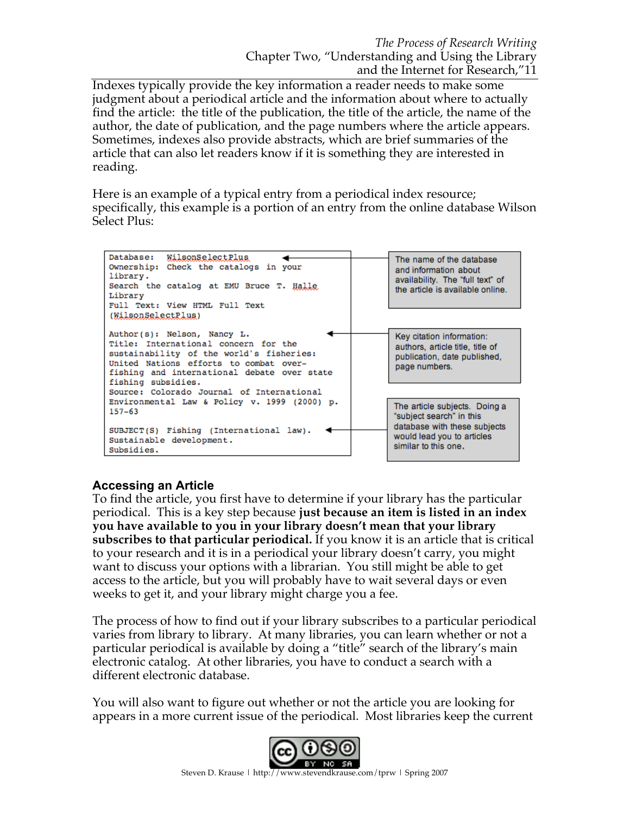Indexes typically provide the key information a reader needs to make some judgment about a periodical article and the information about where to actually find the article: the title of the publication, the title of the article, the name of the author, the date of publication, and the page numbers where the article appears. Sometimes, indexes also provide abstracts, which are brief summaries of the article that can also let readers know if it is something they are interested in reading.

Here is an example of a typical entry from a periodical index resource; specifically, this example is a portion of an entry from the online database Wilson Select Plus:



### **Accessing an Article**

To find the article, you first have to determine if your library has the particular periodical. This is a key step because **just because an item is listed in an index you have available to you in your library doesn't mean that your library subscribes to that particular periodical.** If you know it is an article that is critical to your research and it is in a periodical your library doesn't carry, you might want to discuss your options with a librarian. You still might be able to get access to the article, but you will probably have to wait several days or even weeks to get it, and your library might charge you a fee.

The process of how to find out if your library subscribes to a particular periodical varies from library to library. At many libraries, you can learn whether or not a particular periodical is available by doing a "title" search of the library's main electronic catalog. At other libraries, you have to conduct a search with a different electronic database.

You will also want to figure out whether or not the article you are looking for appears in a more current issue of the periodical. Most libraries keep the current

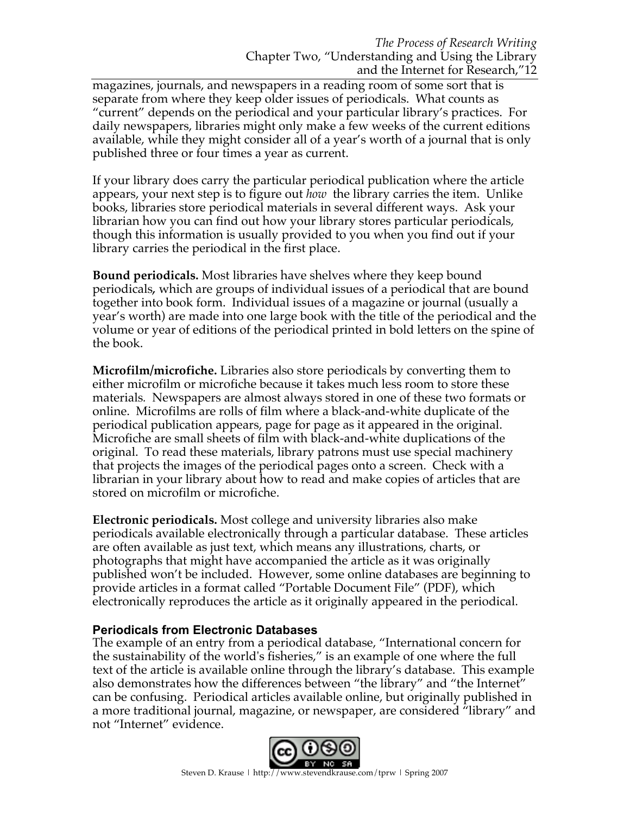magazines, journals, and newspapers in a reading room of some sort that is separate from where they keep older issues of periodicals. What counts as "current" depends on the periodical and your particular library's practices. For daily newspapers, libraries might only make a few weeks of the current editions available, while they might consider all of a year's worth of a journal that is only published three or four times a year as current.

If your library does carry the particular periodical publication where the article appears, your next step is to figure out *how* the library carries the item. Unlike books, libraries store periodical materials in several different ways. Ask your librarian how you can find out how your library stores particular periodicals, though this information is usually provided to you when you find out if your library carries the periodical in the first place.

**Bound periodicals.** Most libraries have shelves where they keep bound periodicals*,* which are groups of individual issues of a periodical that are bound together into book form. Individual issues of a magazine or journal (usually a year's worth) are made into one large book with the title of the periodical and the volume or year of editions of the periodical printed in bold letters on the spine of the book.

**Microfilm/microfiche.** Libraries also store periodicals by converting them to either microfilm or microfiche because it takes much less room to store these materials*.* Newspapers are almost always stored in one of these two formats or online. Microfilms are rolls of film where a black-and-white duplicate of the periodical publication appears, page for page as it appeared in the original. Microfiche are small sheets of film with black-and-white duplications of the original. To read these materials, library patrons must use special machinery that projects the images of the periodical pages onto a screen. Check with a librarian in your library about how to read and make copies of articles that are stored on microfilm or microfiche.

**Electronic periodicals.** Most college and university libraries also make periodicals available electronically through a particular database. These articles are often available as just text, which means any illustrations, charts, or photographs that might have accompanied the article as it was originally published won't be included. However, some online databases are beginning to provide articles in a format called "Portable Document File" (PDF), which electronically reproduces the article as it originally appeared in the periodical.

## **Periodicals from Electronic Databases**

The example of an entry from a periodical database, "International concern for the sustainability of the world's fisheries," is an example of one where the full text of the article is available online through the library's database. This example also demonstrates how the differences between "the library" and "the Internet" can be confusing. Periodical articles available online, but originally published in a more traditional journal, magazine, or newspaper, are considered "library" and not "Internet" evidence.

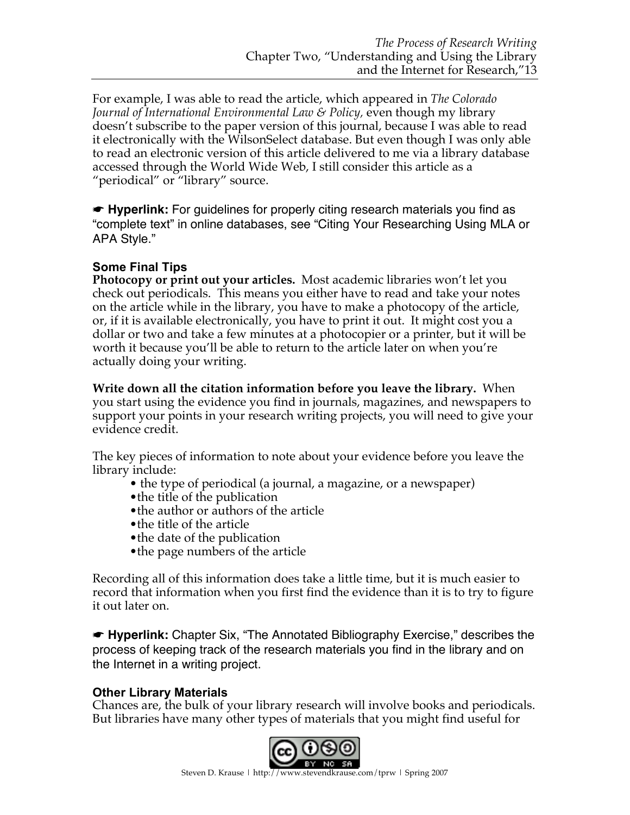For example, I was able to read the article, which appeared in *The Colorado Journal of International Environmental Law & Policy,* even though my library doesn't subscribe to the paper version of this journal, because I was able to read it electronically with the WilsonSelect database. But even though I was only able to read an electronic version of this article delivered to me via a library database accessed through the World Wide Web, I still consider this article as a "periodical" or "library" source.

☛ **Hyperlink:** For guidelines for properly citing research materials you find as "complete text" in online databases, see "Citing Your Researching Using MLA or APA Style."

# **Some Final Tips**

**Photocopy or print out your articles.** Most academic libraries won't let you check out periodicals. This means you either have to read and take your notes on the article while in the library, you have to make a photocopy of the article, or, if it is available electronically, you have to print it out. It might cost you a dollar or two and take a few minutes at a photocopier or a printer, but it will be worth it because you'll be able to return to the article later on when you're actually doing your writing.

**Write down all the citation information before you leave the library.** When you start using the evidence you find in journals, magazines, and newspapers to support your points in your research writing projects, you will need to give your evidence credit.

The key pieces of information to note about your evidence before you leave the library include:

- the type of periodical (a journal, a magazine, or a newspaper)
- the title of the publication
- the author or authors of the article
- •the title of the article
- the date of the publication
- the page numbers of the article

Recording all of this information does take a little time, but it is much easier to record that information when you first find the evidence than it is to try to figure it out later on.

☛ **Hyperlink:** Chapter Six, "The Annotated Bibliography Exercise," describes the process of keeping track of the research materials you find in the library and on the Internet in a writing project.

# **Other Library Materials**

Chances are, the bulk of your library research will involve books and periodicals. But libraries have many other types of materials that you might find useful for

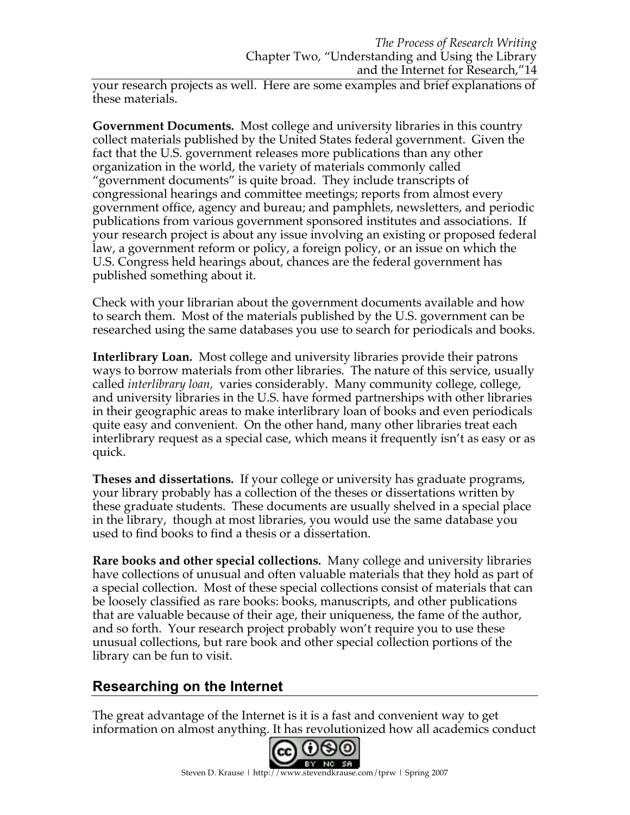your research projects as well. Here are some examples and brief explanations of these materials.

**Government Documents***.* Most college and university libraries in this country collect materials published by the United States federal government. Given the fact that the U.S. government releases more publications than any other organization in the world, the variety of materials commonly called "government documents" is quite broad. They include transcripts of congressional hearings and committee meetings; reports from almost every government office, agency and bureau; and pamphlets, newsletters, and periodic publications from various government sponsored institutes and associations. If your research project is about any issue involving an existing or proposed federal law, a government reform or policy, a foreign policy, or an issue on which the U.S. Congress held hearings about, chances are the federal government has published something about it.

Check with your librarian about the government documents available and how to search them. Most of the materials published by the U.S. government can be researched using the same databases you use to search for periodicals and books.

**Interlibrary Loan***.* Most college and university libraries provide their patrons ways to borrow materials from other libraries. The nature of this service, usually called *interlibrary loan,* varies considerably. Many community college, college, and university libraries in the U.S. have formed partnerships with other libraries in their geographic areas to make interlibrary loan of books and even periodicals quite easy and convenient. On the other hand, many other libraries treat each interlibrary request as a special case, which means it frequently isn't as easy or as quick.

**Theses and dissertations***.* If your college or university has graduate programs, your library probably has a collection of the theses or dissertations written by these graduate students. These documents are usually shelved in a special place in the library, though at most libraries, you would use the same database you used to find books to find a thesis or a dissertation.

**Rare books and other special collections***.* Many college and university libraries have collections of unusual and often valuable materials that they hold as part of a special collection. Most of these special collections consist of materials that can be loosely classified as rare books: books, manuscripts, and other publications that are valuable because of their age, their uniqueness, the fame of the author, and so forth. Your research project probably won't require you to use these unusual collections, but rare book and other special collection portions of the library can be fun to visit.

# **Researching on the Internet**

The great advantage of the Internet is it is a fast and convenient way to get information on almost anything. It has revolutionized how all academics conduct

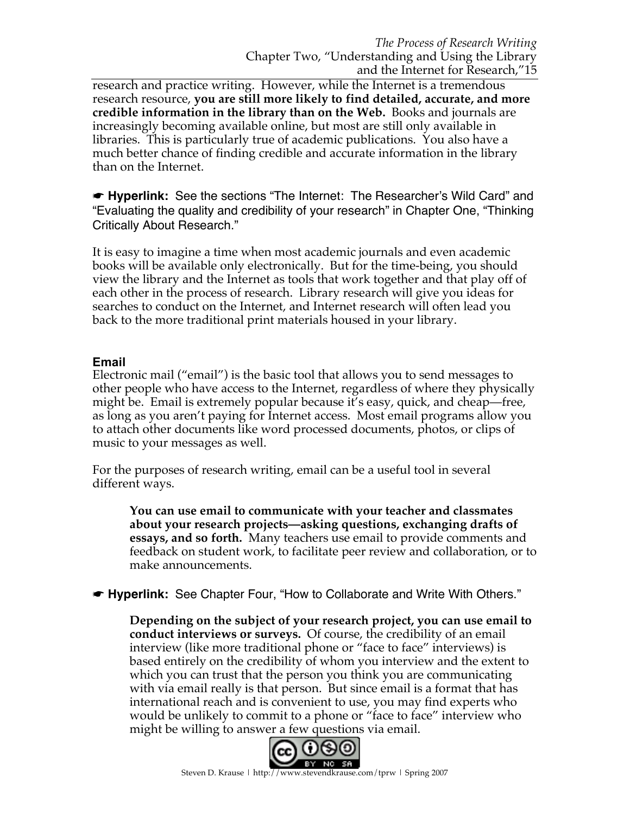research and practice writing. However, while the Internet is a tremendous research resource, **you are still more likely to find detailed, accurate, and more credible information in the library than on the Web.** Books and journals are increasingly becoming available online, but most are still only available in libraries. This is particularly true of academic publications. You also have a much better chance of finding credible and accurate information in the library than on the Internet.

☛ **Hyperlink:** See the sections "The Internet: The Researcher's Wild Card" and "Evaluating the quality and credibility of your research" in Chapter One, "Thinking Critically About Research."

It is easy to imagine a time when most academic journals and even academic books will be available only electronically. But for the time-being, you should view the library and the Internet as tools that work together and that play off of each other in the process of research. Library research will give you ideas for searches to conduct on the Internet, and Internet research will often lead you back to the more traditional print materials housed in your library.

### **Email**

Electronic mail ("email") is the basic tool that allows you to send messages to other people who have access to the Internet, regardless of where they physically might be. Email is extremely popular because it's easy, quick, and cheap—free, as long as you aren't paying for Internet access. Most email programs allow you to attach other documents like word processed documents, photos, or clips of music to your messages as well.

For the purposes of research writing, email can be a useful tool in several different ways.

**You can use email to communicate with your teacher and classmates about your research projects—asking questions, exchanging drafts of essays, and so forth.** Many teachers use email to provide comments and feedback on student work, to facilitate peer review and collaboration, or to make announcements.

☛ **Hyperlink:** See Chapter Four, "How to Collaborate and Write With Others."

**Depending on the subject of your research project, you can use email to conduct interviews or surveys.** Of course, the credibility of an email interview (like more traditional phone or "face to face" interviews) is based entirely on the credibility of whom you interview and the extent to which you can trust that the person you think you are communicating with via email really is that person. But since email is a format that has international reach and is convenient to use, you may find experts who would be unlikely to commit to a phone or "face to face" interview who might be willing to answer a few questions via email.

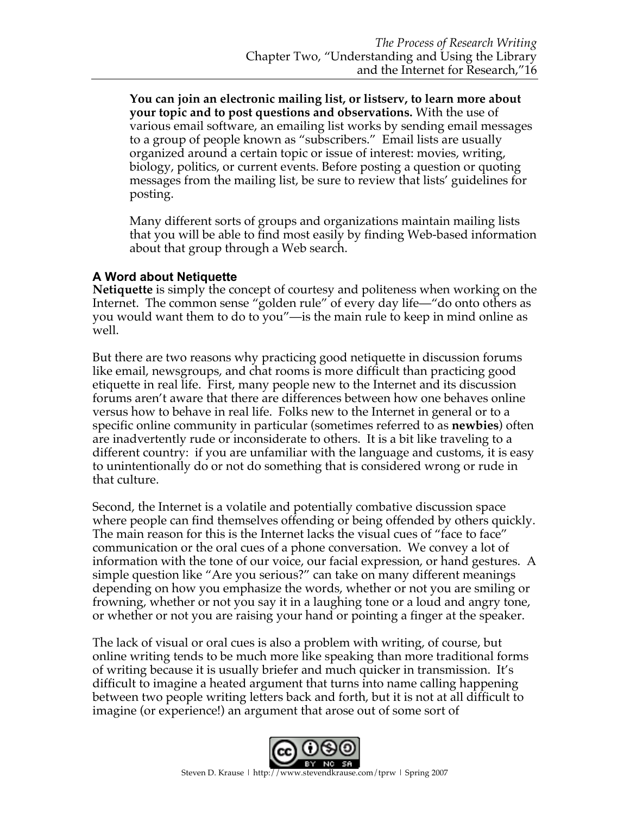**You can join an electronic mailing list, or listserv, to learn more about your topic and to post questions and observations.** With the use of various email software, an emailing list works by sending email messages to a group of people known as "subscribers." Email lists are usually organized around a certain topic or issue of interest: movies, writing, biology, politics, or current events. Before posting a question or quoting messages from the mailing list, be sure to review that lists' guidelines for posting.

Many different sorts of groups and organizations maintain mailing lists that you will be able to find most easily by finding Web-based information about that group through a Web search.

### **A Word about Netiquette**

**Netiquette** is simply the concept of courtesy and politeness when working on the Internet. The common sense "golden rule" of every day life—"do onto others as you would want them to do to you"—is the main rule to keep in mind online as well.

But there are two reasons why practicing good netiquette in discussion forums like email, newsgroups, and chat rooms is more difficult than practicing good etiquette in real life. First, many people new to the Internet and its discussion forums aren't aware that there are differences between how one behaves online versus how to behave in real life. Folks new to the Internet in general or to a specific online community in particular (sometimes referred to as **newbies**) often are inadvertently rude or inconsiderate to others. It is a bit like traveling to a different country: if you are unfamiliar with the language and customs, it is easy to unintentionally do or not do something that is considered wrong or rude in that culture.

Second, the Internet is a volatile and potentially combative discussion space where people can find themselves offending or being offended by others quickly. The main reason for this is the Internet lacks the visual cues of "face to face" communication or the oral cues of a phone conversation. We convey a lot of information with the tone of our voice, our facial expression, or hand gestures. A simple question like "Are you serious?" can take on many different meanings depending on how you emphasize the words, whether or not you are smiling or frowning, whether or not you say it in a laughing tone or a loud and angry tone, or whether or not you are raising your hand or pointing a finger at the speaker.

The lack of visual or oral cues is also a problem with writing, of course, but online writing tends to be much more like speaking than more traditional forms of writing because it is usually briefer and much quicker in transmission. It's difficult to imagine a heated argument that turns into name calling happening between two people writing letters back and forth, but it is not at all difficult to imagine (or experience!) an argument that arose out of some sort of

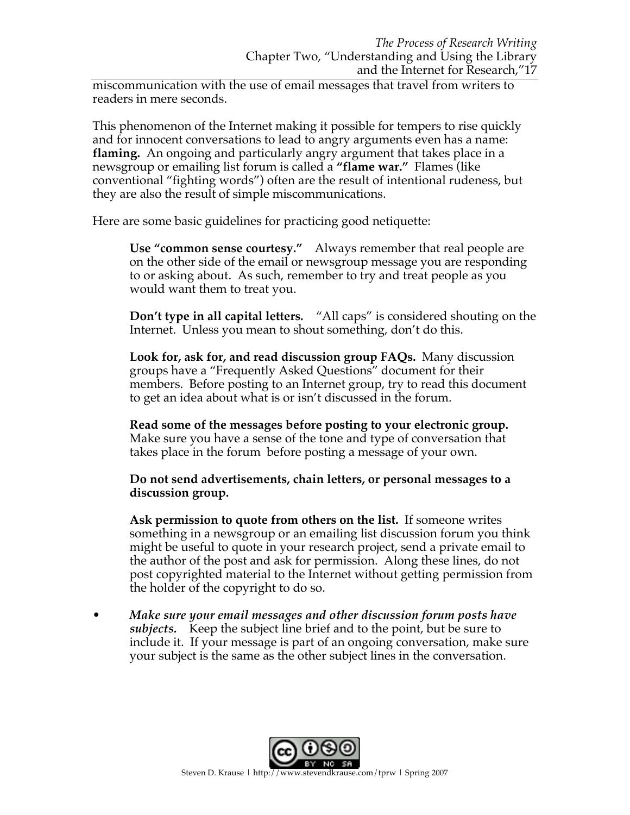miscommunication with the use of email messages that travel from writers to readers in mere seconds.

This phenomenon of the Internet making it possible for tempers to rise quickly and for innocent conversations to lead to angry arguments even has a name: **flaming.** An ongoing and particularly angry argument that takes place in a newsgroup or emailing list forum is called a **"flame war."** Flames (like conventional "fighting words") often are the result of intentional rudeness, but they are also the result of simple miscommunications.

Here are some basic guidelines for practicing good netiquette:

**Use "common sense courtesy."** Always remember that real people are on the other side of the email or newsgroup message you are responding to or asking about. As such, remember to try and treat people as you would want them to treat you.

**Don't type in all capital letters***.* "All caps" is considered shouting on the Internet. Unless you mean to shout something, don't do this.

**Look for, ask for, and read discussion group FAQs.** Many discussion groups have a "Frequently Asked Questions" document for their members. Before posting to an Internet group, try to read this document to get an idea about what is or isn't discussed in the forum.

**Read some of the messages before posting to your electronic group.** Make sure you have a sense of the tone and type of conversation that takes place in the forum before posting a message of your own.

**Do not send advertisements, chain letters, or personal messages to a discussion group.**

**Ask permission to quote from others on the list.** If someone writes something in a newsgroup or an emailing list discussion forum you think might be useful to quote in your research project, send a private email to the author of the post and ask for permission. Along these lines, do not post copyrighted material to the Internet without getting permission from the holder of the copyright to do so.

• *Make sure your email messages and other discussion forum posts have subjects.* Keep the subject line brief and to the point, but be sure to include it. If your message is part of an ongoing conversation, make sure your subject is the same as the other subject lines in the conversation.

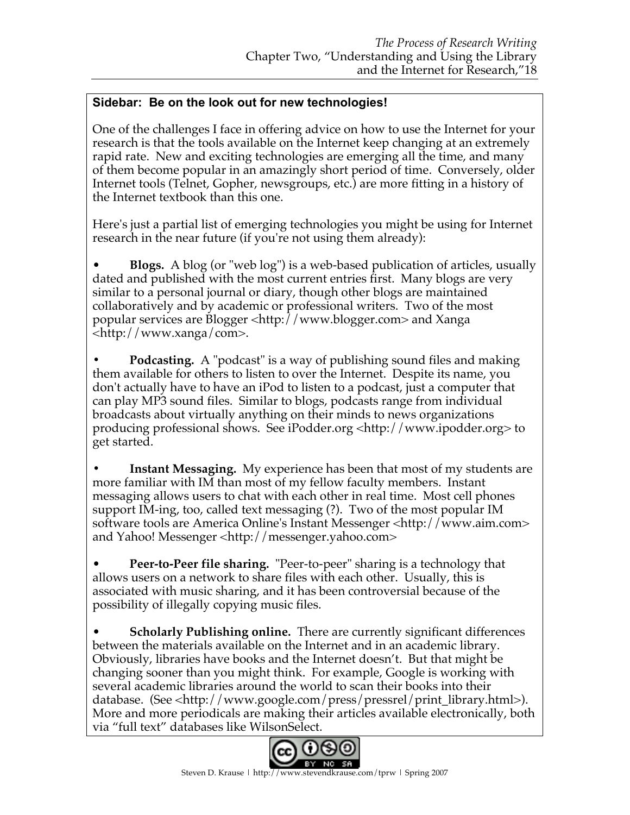# **Sidebar: Be on the look out for new technologies!**

One of the challenges I face in offering advice on how to use the Internet for your research is that the tools available on the Internet keep changing at an extremely rapid rate. New and exciting technologies are emerging all the time, and many of them become popular in an amazingly short period of time. Conversely, older Internet tools (Telnet, Gopher, newsgroups, etc.) are more fitting in a history of the Internet textbook than this one.

Here's just a partial list of emerging technologies you might be using for Internet research in the near future (if you're not using them already):

• **Blogs.** A blog (or "web log") is a web-based publication of articles, usually dated and published with the most current entries first. Many blogs are very similar to a personal journal or diary, though other blogs are maintained collaboratively and by academic or professional writers. Two of the most popular services are Blogger <http://www.blogger.com> and Xanga <http://www.xanga/com>.

**• Podcasting.** A "podcast" is a way of publishing sound files and making them available for others to listen to over the Internet. Despite its name, you don't actually have to have an iPod to listen to a podcast, just a computer that can play MP3 sound files. Similar to blogs, podcasts range from individual broadcasts about virtually anything on their minds to news organizations producing professional shows. See iPodder.org <http://www.ipodder.org> to get started.

**• Instant Messaging.** My experience has been that most of my students are more familiar with IM than most of my fellow faculty members. Instant messaging allows users to chat with each other in real time. Most cell phones support IM-ing, too, called text messaging (?). Two of the most popular IM software tools are America Online's Instant Messenger <http://www.aim.com> and Yahoo! Messenger <http://messenger.yahoo.com>

• **Peer-to-Peer file sharing.** "Peer-to-peer" sharing is a technology that allows users on a network to share files with each other. Usually, this is associated with music sharing, and it has been controversial because of the possibility of illegally copying music files.

• **Scholarly Publishing online.** There are currently significant differences between the materials available on the Internet and in an academic library. Obviously, libraries have books and the Internet doesn't. But that might be changing sooner than you might think. For example, Google is working with several academic libraries around the world to scan their books into their database. (See <http://www.google.com/press/pressrel/print\_library.html>). More and more periodicals are making their articles available electronically, both via "full text" databases like WilsonSelect.

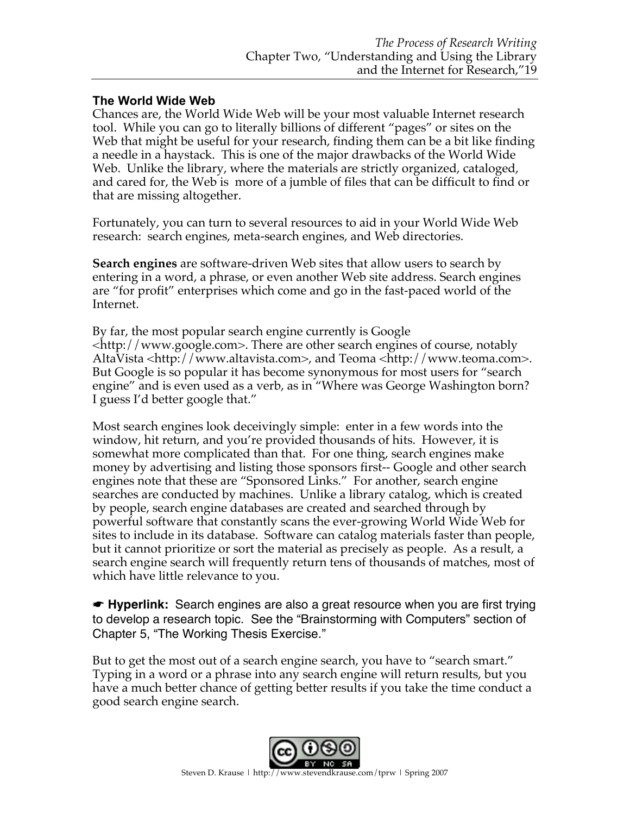## **The World Wide Web**

Chances are, the World Wide Web will be your most valuable Internet research tool. While you can go to literally billions of different "pages" or sites on the Web that might be useful for your research, finding them can be a bit like finding a needle in a haystack. This is one of the major drawbacks of the World Wide Web. Unlike the library, where the materials are strictly organized, cataloged, and cared for, the Web is more of a jumble of files that can be difficult to find or that are missing altogether.

Fortunately, you can turn to several resources to aid in your World Wide Web research: search engines, meta-search engines, and Web directories.

**Search engines** are software-driven Web sites that allow users to search by entering in a word, a phrase, or even another Web site address. Search engines are "for profit" enterprises which come and go in the fast-paced world of the Internet.

By far, the most popular search engine currently is Google <http://www.google.com>. There are other search engines of course, notably AltaVista <http://www.altavista.com>, and Teoma <http://www.teoma.com>. But Google is so popular it has become synonymous for most users for "search engine" and is even used as a verb, as in "Where was George Washington born? I guess I'd better google that."

Most search engines look deceivingly simple: enter in a few words into the window, hit return, and you're provided thousands of hits. However, it is somewhat more complicated than that. For one thing, search engines make money by advertising and listing those sponsors first-- Google and other search engines note that these are "Sponsored Links." For another, search engine searches are conducted by machines. Unlike a library catalog, which is created by people, search engine databases are created and searched through by powerful software that constantly scans the ever-growing World Wide Web for sites to include in its database. Software can catalog materials faster than people, but it cannot prioritize or sort the material as precisely as people. As a result, a search engine search will frequently return tens of thousands of matches, most of which have little relevance to you.

☛ **Hyperlink:** Search engines are also a great resource when you are first trying to develop a research topic. See the "Brainstorming with Computers" section of Chapter 5, "The Working Thesis Exercise."

But to get the most out of a search engine search, you have to "search smart." Typing in a word or a phrase into any search engine will return results, but you have a much better chance of getting better results if you take the time conduct a good search engine search.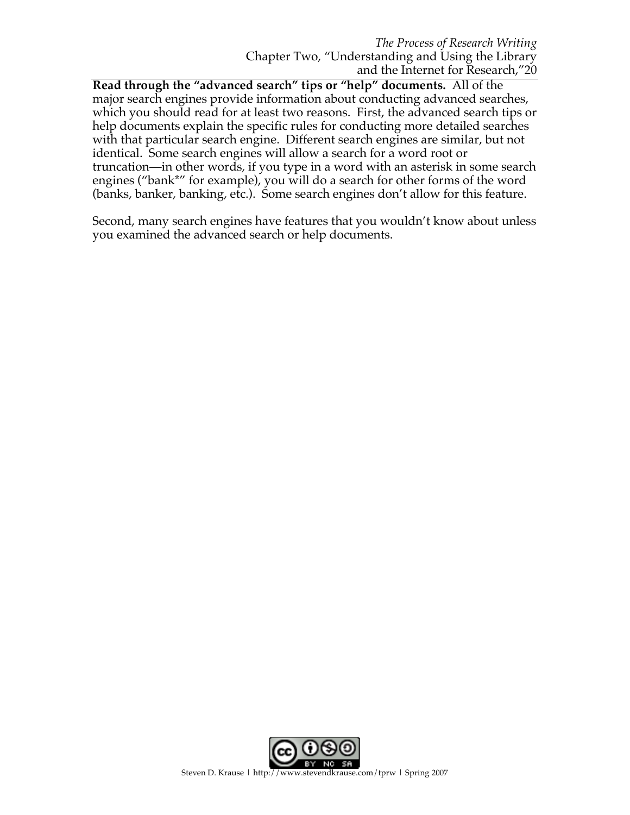**Read through the "advanced search" tips or "help" documents.** All of the major search engines provide information about conducting advanced searches, which you should read for at least two reasons. First, the advanced search tips or help documents explain the specific rules for conducting more detailed searches with that particular search engine. Different search engines are similar, but not identical. Some search engines will allow a search for a word root or truncation—in other words, if you type in a word with an asterisk in some search engines ("bank\*" for example), you will do a search for other forms of the word (banks, banker, banking, etc.). Some search engines don't allow for this feature.

Second, many search engines have features that you wouldn't know about unless you examined the advanced search or help documents.

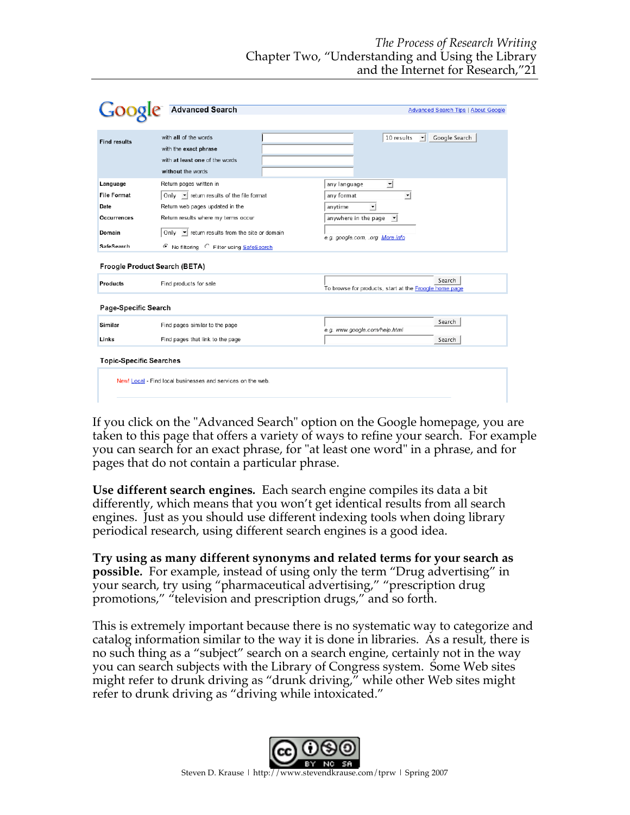|                                                             | <b>Advanced Search</b>                                                                                                                         | <b>Advanced Search Tips   About Google</b>                       |  |  |
|-------------------------------------------------------------|------------------------------------------------------------------------------------------------------------------------------------------------|------------------------------------------------------------------|--|--|
|                                                             |                                                                                                                                                |                                                                  |  |  |
| <b>Find results</b>                                         | with all of the words<br>with the exact phrase<br>with at least one of the words<br>without the words                                          | 10 results<br>Google Search<br>$\vert \cdot \vert$               |  |  |
| Language<br><b>File Format</b>                              | Return pages written in<br>Only $\blacktriangleright$ return results of the file format                                                        | any language<br>킈<br>any format                                  |  |  |
| Date<br><b>Occurrences</b><br>Domain                        | Return web pages updated in the<br>Return results where my terms occur<br>$\blacktriangleright$ return results from the site or domain<br>Only | anytime<br>▼<br>anywhere in the page<br>$\vert \cdot \vert$      |  |  |
| <b>SafeSearch</b>                                           | No filtering C Filter using SafeSearch                                                                                                         | e.g. google.com, .org More info                                  |  |  |
| Froogle Product Search (BETA)                               |                                                                                                                                                |                                                                  |  |  |
| <b>Products</b>                                             | Find products for sale                                                                                                                         | Search<br>To browse for products, start at the Froogle home page |  |  |
| Page-Specific Search                                        |                                                                                                                                                |                                                                  |  |  |
| Similar                                                     | Find pages similar to the page                                                                                                                 | Search<br>e.g. www.google.com/help.html                          |  |  |
| Links                                                       | Find pages that link to the page                                                                                                               | Search                                                           |  |  |
| <b>Topic-Specific Searches</b>                              |                                                                                                                                                |                                                                  |  |  |
| New! Local - Find local businesses and services on the web. |                                                                                                                                                |                                                                  |  |  |
|                                                             |                                                                                                                                                |                                                                  |  |  |

If you click on the "Advanced Search" option on the Google homepage, you are taken to this page that offers a variety of ways to refine your search. For example you can search for an exact phrase, for "at least one word" in a phrase, and for pages that do not contain a particular phrase.

**Use different search engines***.* Each search engine compiles its data a bit differently, which means that you won't get identical results from all search engines. Just as you should use different indexing tools when doing library periodical research, using different search engines is a good idea.

**Try using as many different synonyms and related terms for your search as possible***.* For example, instead of using only the term "Drug advertising" in your search, try using "pharmaceutical advertising," "prescription drug promotions," "television and prescription drugs," and so forth.

This is extremely important because there is no systematic way to categorize and catalog information similar to the way it is done in libraries. As a result, there is no such thing as a "subject" search on a search engine, certainly not in the way you can search subjects with the Library of Congress system. Some Web sites might refer to drunk driving as "drunk driving," while other Web sites might refer to drunk driving as "driving while intoxicated."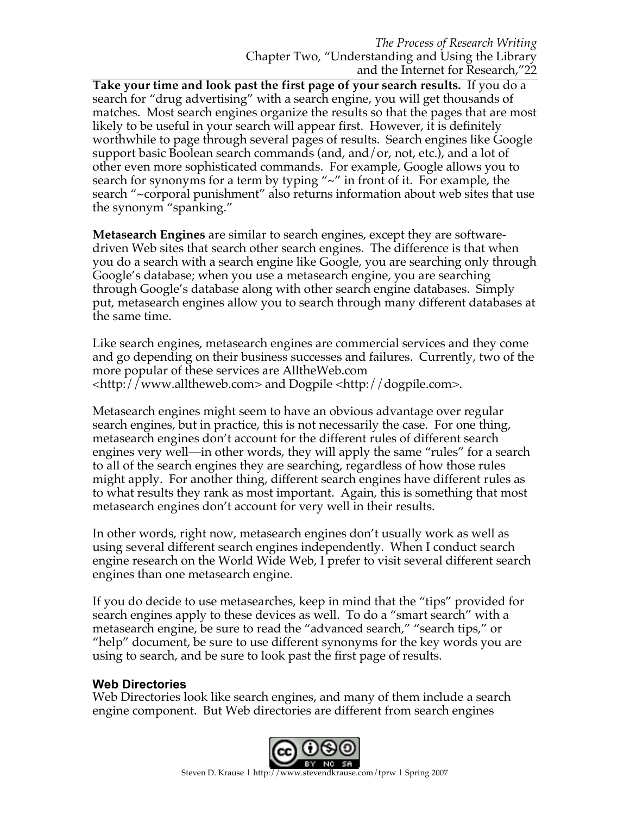**Take your time and look past the first page of your search results.** If you do a search for "drug advertising" with a search engine, you will get thousands of matches. Most search engines organize the results so that the pages that are most likely to be useful in your search will appear first. However, it is definitely worthwhile to page through several pages of results. Search engines like Google support basic Boolean search commands (and, and/or, not, etc.), and a lot of other even more sophisticated commands. For example, Google allows you to search for synonyms for a term by typing "~" in front of it. For example, the search "~corporal punishment" also returns information about web sites that use the synonym "spanking."

**Metasearch Engines** are similar to search engines, except they are softwaredriven Web sites that search other search engines. The difference is that when you do a search with a search engine like Google, you are searching only through Google's database; when you use a metasearch engine, you are searching through Google's database along with other search engine databases. Simply put, metasearch engines allow you to search through many different databases at the same time.

Like search engines, metasearch engines are commercial services and they come and go depending on their business successes and failures. Currently, two of the more popular of these services are AlltheWeb.com <http://www.alltheweb.com> and Dogpile <http://dogpile.com>.

Metasearch engines might seem to have an obvious advantage over regular search engines, but in practice, this is not necessarily the case. For one thing, metasearch engines don't account for the different rules of different search engines very well—in other words, they will apply the same "rules" for a search to all of the search engines they are searching, regardless of how those rules might apply. For another thing, different search engines have different rules as to what results they rank as most important. Again, this is something that most metasearch engines don't account for very well in their results.

In other words, right now, metasearch engines don't usually work as well as using several different search engines independently. When I conduct search engine research on the World Wide Web, I prefer to visit several different search engines than one metasearch engine.

If you do decide to use metasearches, keep in mind that the "tips" provided for search engines apply to these devices as well. To do a "smart search" with a metasearch engine, be sure to read the "advanced search," "search tips," or "help" document, be sure to use different synonyms for the key words you are using to search, and be sure to look past the first page of results.

### **Web Directories**

Web Directories look like search engines, and many of them include a search engine component. But Web directories are different from search engines

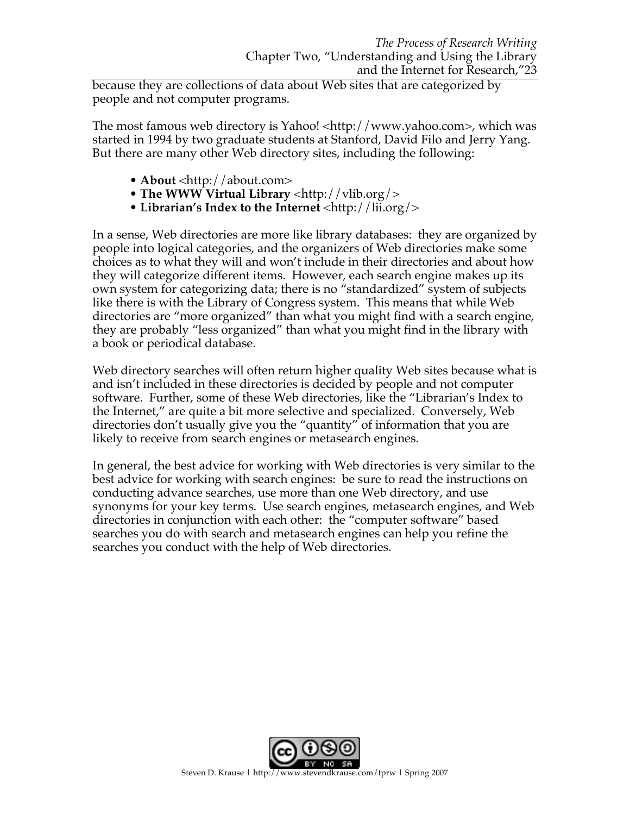because they are collections of data about Web sites that are categorized by people and not computer programs.

The most famous web directory is Yahoo! <http://www.yahoo.com>, which was started in 1994 by two graduate students at Stanford, David Filo and Jerry Yang. But there are many other Web directory sites, including the following:

- **About** <http://about.com>
- The WWW Virtual Library <http://vlib.org/>
- **Librarian's Index to the Internet** <http://lii.org/>

In a sense, Web directories are more like library databases: they are organized by people into logical categories, and the organizers of Web directories make some choices as to what they will and won't include in their directories and about how they will categorize different items. However, each search engine makes up its own system for categorizing data; there is no "standardized" system of subjects like there is with the Library of Congress system. This means that while Web directories are "more organized" than what you might find with a search engine, they are probably "less organized" than what you might find in the library with a book or periodical database.

Web directory searches will often return higher quality Web sites because what is and isn't included in these directories is decided by people and not computer software. Further, some of these Web directories, like the "Librarian's Index to the Internet," are quite a bit more selective and specialized. Conversely, Web directories don't usually give you the "quantity" of information that you are likely to receive from search engines or metasearch engines.

In general, the best advice for working with Web directories is very similar to the best advice for working with search engines: be sure to read the instructions on conducting advance searches, use more than one Web directory, and use synonyms for your key terms. Use search engines, metasearch engines, and Web directories in conjunction with each other: the "computer software" based searches you do with search and metasearch engines can help you refine the searches you conduct with the help of Web directories.